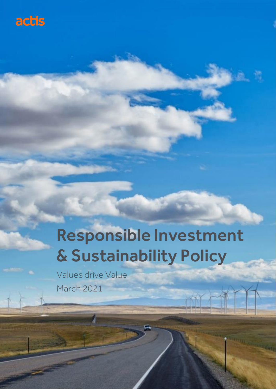

# Responsible Investment & Sustainability Policy

w

 $\sim$   $\sim$ 

Values drive Value March 2021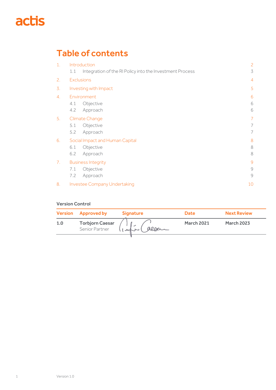## actis

## Table of contents

| $\mathbf{1}$ .                  | Introduction                                                    |              |  |  |
|---------------------------------|-----------------------------------------------------------------|--------------|--|--|
|                                 | Integration of the RI Policy into the Investment Process<br>1.1 | 3            |  |  |
| 2.                              | <b>Exclusions</b>                                               |              |  |  |
| 3.                              | Investing with Impact                                           |              |  |  |
| 4.                              | Environment                                                     | 6            |  |  |
|                                 | Objective<br>4.1                                                | 6            |  |  |
|                                 | Approach<br>4.2                                                 | 6            |  |  |
| 5 <sub>1</sub>                  | Climate Change                                                  |              |  |  |
|                                 | Objective<br>5.1                                                | 7            |  |  |
|                                 | Approach<br>5.2                                                 | 7            |  |  |
| 6.                              | Social Impact and Human Capital                                 | 8            |  |  |
|                                 | Objective<br>6.1                                                | 8            |  |  |
|                                 | Approach<br>$6.2$                                               | 8            |  |  |
| $7_{\scriptscriptstyle{\star}}$ | <b>Business Integrity</b>                                       |              |  |  |
|                                 | Objective<br>7.1                                                | $\mathcal G$ |  |  |
|                                 | Approach<br>7.2                                                 | 9            |  |  |
| 8.                              | <b>Investee Company Undertaking</b>                             | 10           |  |  |

#### Version Control

|     | <b>Version Approved by</b>               | <b>Signature</b> | <b>Date</b>       | <b>Next Review</b> |
|-----|------------------------------------------|------------------|-------------------|--------------------|
| 1.0 | <b>Torbjorn Caesar</b><br>Senior Partner | alser            | <b>March 2021</b> | <b>March 2023</b>  |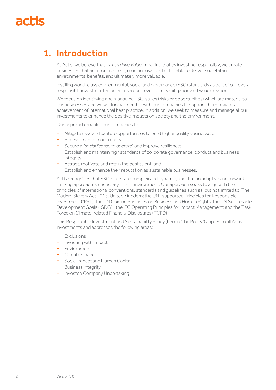### 1. Introduction

At Actis, we believe that *Values drive Value*, meaning that by investing responsibly, we create businesses that are more resilient, more innovative, better able to deliver societal and environmental benefits, and ultimately more valuable.

Instilling world-class environmental, social and governance (ESG) standards as part of our overall responsible investment approach is a core lever for risk mitigation and value creation.

We focus on identifying and managing ESG issues (risks or opportunities) which are material to our businesses and we work in partnership with our companies to support them towards achievement of international best practice. In addition, we seek to measure and manage all our investments to enhance the positive impacts on society and the environment.

Our approach enables our companies to:

- − Mitigate risks and capture opportunities to build higher quality businesses;
- − Access finance more readily;
- − Secure a "*social license to operate*" and improve resilience;
- − Establish and maintain high standards of corporate governance, conduct and business integrity;
- − Attract, motivate and retain the best talent; and
- − Establish and enhance their reputation as sustainable businesses.

Actis recognises that ESG issues are complex and dynamic, and that an adaptive and forwardthinking approach is necessary in this environment. Our approach seeks to align with the principles of international conventions, standards and guidelines such as, but not limited to: The Modern Slavery Act 2015, United Kingdom; the UN- supported Principles for Responsible Investment ("PRI"); the UN Guiding Principles on Business and Human Rights; the UN Sustainable Development Goals ("SDG"); the IFC Operating Principles for Impact Management; and the Task Force on Climate-related Financial Disclosures (TCFD).

This Responsible Investment and Sustainability Policy (herein "the Policy") applies to all Actis investments and addresses the following areas:

- − Exclusions
- − Investing with Impact
- − Environment
- − Climate Change
- − Social Impact and Human Capital
- − Business Integrity
- − Investee Company Undertaking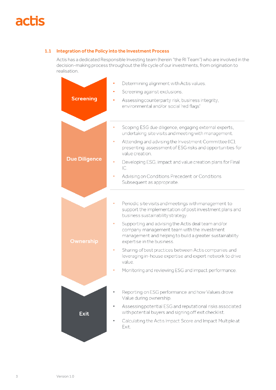#### 1.1 Integration of the Policy into the Investment Process

Actis has a dedicated Responsible Investing team (herein "the RI Team") who are involved in the decision-making process throughout the life cycle of our investments, from origination to realisation.

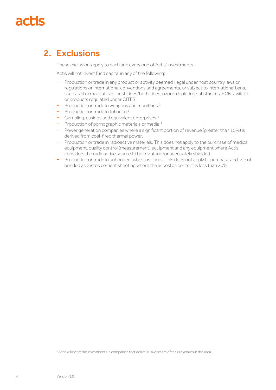### 2. Exclusions

These exclusions apply to each and every one of Actis' investments.

Actis will not invest fund capital in any of the following:

- − Production or trade in any product or activity deemed illegal under host country laws or regulations or international conventions and agreements, or subject to international bans, such as pharmaceuticals, pesticides/herbicides, ozone depleting substances, PCB's, wildlife or products regulated under CITES.
- − Production or trade in weapons and munitions.<sup>1</sup>
- − Production or trade in tobacco.<sup>1</sup>
- − Gambling, casinos and equivalent enterprises.<sup>1</sup>
- − Production of pornographic materials or media.<sup>1</sup>
- − Power generation companies where a significant portion of revenue (greater than 10%) is derived from coal-fired thermal power.
- − Production or trade in radioactive materials. This does not apply to the purchase of medical equipment, quality control (measurement) equipment and any equipment where Actis considers the radioactive source to be trivial and/or adequately shielded.
- − Production or trade in unbonded asbestos fibres. This does not apply to purchase and use of bonded asbestos cement sheeting where the asbestos content is less than 20%.

<sup>1</sup> Actis will not make investments in companies that derive 10% or more of their revenues in this area.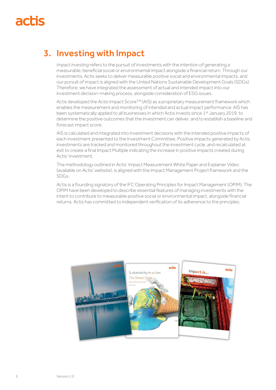## 3. Investing with Impact

*Impact investing* refers to the pursuit of investments with the intention of generating a measurable, beneficial social or environmental impact alongside a financial return. Through our investments, Actis seeks to deliver measurable positive social and environmental impacts, and our pursuit of impactis aligned with the United Nations Sustainable Development Goals (SDGs). Therefore, we have integrated the assessment of actual and intended impact into our investment decision-making process, alongside consideration of ESG issues.

Actis developed the Actis Impact Score<sup>TM</sup> (AIS) as a proprietary measurement framework which enables the measurement and monitoring of intended and actual impact performance. AIS has been systematically applied to all businesses in which Actis invests since 1<sup>st</sup> January 2019, to determine the positive outcomes that the investment can deliver, and to establish a baseline and forecast impact score.

AIS is calculated and integrated into investment decisions with the intended positive impacts of each investment presented to the Investment Committee. Positive impacts generated by Actis investments are tracked and monitored throughout the investment cycle, and recalculated at exit to create a final Impact Multiple indicating the increase in positive impacts created during Actis' investment.

The methodology outlined in Actis' Impact Measurement White Paper and Explainer Video (available on Actis' website), is aligned with the Impact Management Projectframework and the SDGs.

Actis is a founding signatory of the IFC Operating Principles for Impact Management (OPIM). The OPIM have been developed to describe essential features of managing investments with the intent to contribute to measurable positive social or environmental impact, alongside financial returns. Actis has committed to independent verification of its adherence to the principles.

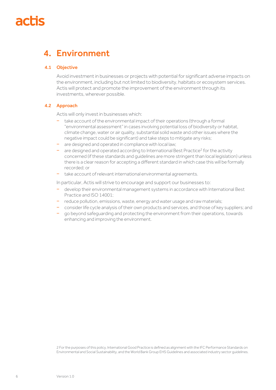### 4. Environment

#### 4.1 Objective

Avoid investment in businesses or projects with potential for significant adverse impacts on the environment, including but not limited to biodiversity, habitats or ecosystem services. Actis will protect and promote the improvement of the environment through its investments, wherever possible.

#### 4.2 Approach

Actis will only invest in businesses which:

- take account of the environmental impact of their operations (through a formal "environmental assessment" in cases involving potential loss of biodiversity or habitat, climate change, water or air quality, substantial solid waste and other issues where the negative impact could be significant) and take steps to mitigate any risks;
- − are designed and operated in compliance with local law;
- − are designed and operated according to International Best Practice<sup>2</sup> for the activity concerned (if these standards and guidelines are more stringent than local legislation) unless there is a clear reason for accepting a different standard in which case this will be formally recorded; or
- − take account of relevant international environmental agreements.

In particular, Actis will strive to encourage and support our businesses to:

- − develop their environmental management systems in accordance with International Best Practice and ISO 14001;
- − reduce pollution, emissions, waste, energy and water usage and raw materials;
- − consider life cycle analysis of their own products and services, and those of key suppliers; and
- go beyond safeguarding and protecting the environment from their operations, towards enhancing and improving the environment.

2 For the purposes of this policy, International Good Practice is defined as alignment with the IFC Performance Standards on Environmental and Social Sustainability, and the World Bank Group EHS Guidelines and associated industry sector guidelines.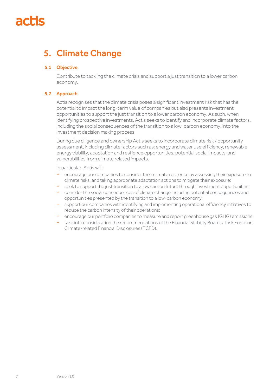## 5. Climate Change

#### 5.1 Objective

Contribute to tackling the climate crisis and support a just transition to a lower carbon economy.

#### 5.2 Approach

Actis recognises that the climate crisis poses a significant investment risk that has the potential to impact the long-term value of companies but also presents investment opportunities to support the just transition to a lower carbon economy. As such, when identifying prospective investments, Actis seeks to identify and incorporate climate factors, including the social consequences of the transition to a low-carbon economy, into the investment decision making process.

During due diligence and ownership Actis seeks to incorporate climate risk / opportunity assessment, including climate factors such as: energy and water use efficiency, renewable energy viability, adaptation and resilience opportunities, potential social impacts, and vulnerabilities from climate related impacts.

In particular, Actis will:

- encourage our companies to consider their climate resilience by assessing their exposure to climate risks, and taking appropriate adaptation actions to mitigate their exposure;
- − seek to support the just transition to a low carbon future through investment opportunities;
- − consider the social consequences of climate change including potential consequences and opportunities presented by the transition to a low-carbon economy;
- − support our companies with identifying and implementing operational efficiency initiatives to reduce the carbon intensity of their operations;
- − encourage our portfolio companies to measure and report greenhouse gas (GHG) emissions;
- − take into consideration the recommendations of the Financial Stability Board's Task Force on Climate-related Financial Disclosures (TCFD).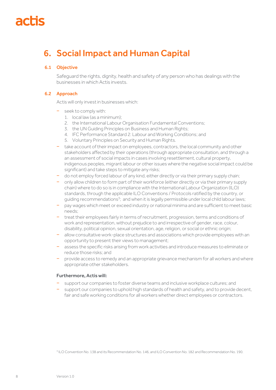## 6. Social Impact and Human Capital

### 6.1 Objective

Safeguard the rights, dignity, health and safety of any person who has dealings with the businesses in which Actis invests.

#### 6.2 Approach

Actis will only invest in businesses which:

- − seek to comply with:
	- 1. local law (as a minimum);
	- 2. the International Labour Organisation Fundamental Conventions;
	- 3. the UN Guiding Principles on Business and Human Rights;
	- 4. IFC Performance Standard 2: Labour and Working Conditions; and
	- 5. Voluntary Principles on Security and Human Rights.
- − take account of their impact on employees, contractors, the local community and other stakeholders affected by their operations (through appropriate consultation, and through a an assessment of social impacts in cases involving resettlement, cultural property, indigenous peoples, migrant labour or other issues where the negative social impact could be significant) and take steps to mitigate any risks;
- − do not employ forced labour of any kind, either directly or via their primary supply chain;
- − only allow children to form part of their workforce (either directly or via their primary supply chain) where to do so is in compliance with the International Labour Organization (ILO) standards, through the applicable ILO Conventions / Protocols ratified by the country, or guiding recommendations<sup>3</sup>; and when it is legally permissible under local child labour laws;
- pay wages which meet or exceed industry or national minima and are sufficient to meet basic needs;
- treat their employees fairly in terms of recruitment, progression, terms and conditions of work and representation, without prejudice to and irrespective of gender, race, colour, disability, political opinion, sexual orientation, age, religion, or social or ethnic origin;
- − allow consultative work-place structures and associations which provide employees with an opportunity to present their views to management;
- − assess the specific risks arising from work activities and introduce measures to eliminate or reduce those risks; and
- provide access to remedy and an appropriate grievance mechanism for all workers and where appropriate other stakeholders.

#### Furthermore, Actis will:

- support our companies to foster diverse teams and inclusive workplace cultures; and
- support our companies to uphold high standards of health and safety, and to provide decent, fair and safe working conditions for all workers whether direct employees or contractors.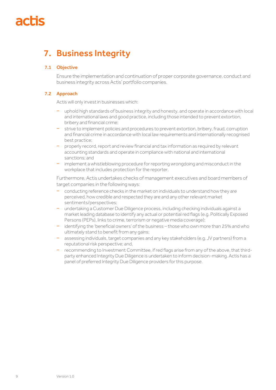## 7. Business Integrity

### 7.1 Objective

Ensure the implementation and continuation of proper corporate governance, conduct and business integrity across Actis' portfolio companies.

### 7.2 Approach

Actis will only invest in businesses which:

- − uphold high standards of business integrity and honesty, and operate in accordance with local and international laws and good practice, including those intended to prevent extortion, bribery and financial crime;
- − strive to implement policies and procedures to prevent extortion, bribery, fraud, corruption and financial crime in accordance with local law requirements and internationally recognised best practice;
- − properly record, report and review financial and tax information as required by relevant accounting standards and operate in compliance with national and international sanctions; and
- − implement a whistleblowing procedure for reporting wrongdoing and misconduct in the workplace that includes protection for the reporter.

Furthermore, Actis undertakes checks of management executives and board members of target companies in the following ways:

- − conducting reference checks in the market on individuals to understand how they are perceived, how credible and respected they are and any other relevant market sentiments/perspectives;
- undertaking a Customer Due Diligence process, including checking individuals against a market leading database to identify any actual or potential red flags (e.g. Politically Exposed Persons (PEPs), links to crime, terrorism or negative media coverage);
- − identifying the 'beneficial owners' of the business those who own more than 25% and who ultimately stand to benefit from any gains;
- assessing individuals, target companies and any key stakeholders (e.g. JV partners) from a reputational risk perspective; and,
- − recommending to Investment Committee, if red flags arise from any of the above, that thirdparty enhanced Integrity Due Diligence is undertaken to inform decision-making. Actis has a panel of preferred Integrity Due Diligence providers for this purpose.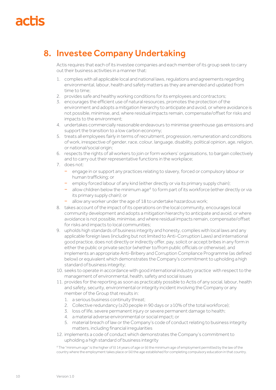## 8. Investee Company Undertaking

Actis requires that each of its investee companies and each member of its group seek to carry out their business activities in a manner that:

- 1. complies with all applicable local and national laws, regulations and agreements regarding environmental, labour, health and safety matters as they are amended and updated from time to time;
- 2. provides safe and healthy working conditions for its employees and contractors;
- 3. encourages the efficient use of natural resources, promotes the protection of the environment and adopts a mitigation hierarchy to anticipate and avoid, or where avoidance is not possible, minimise, and, where residual impacts remain, compensate/offset for risks and impacts to the environment;
- 4. undertakes commercially reasonable endeavours to minimise greenhouse gas emissions and support the transition to a low carbon economy;
- 5. treats all employees fairly in terms of recruitment, progression, remuneration and conditions of work, irrespective of gender, race, colour, language, disability, political opinion, age, religion, or national/social origin;
- 6. respects the rights of all workers to join or form workers' organisations, to bargain collectively and to carry out their representative functions in the workplace;
- 7. does not:
	- − engage in or support any practices relating to slavery, forced or compulsory labour or human trafficking; or
	- − employ forced labour of any kind (either directly or via its primary supply chain);
	- − allow children below the minimum age<sup>4</sup> to form part of its workforce (either directly or via its primary supply chain); or
	- allow any worker under the age of 18 to undertake hazardous work;
- 8. takes account of the impact of its operations on the local community, encourages local community development and adopts a mitigation hierarchy to anticipate and avoid, or where avoidance is not possible, minimise, and where residual impacts remain, compensate/offset for risks and impacts to local communities;
- 9. upholds high standards of business integrity and honesty, complies with local laws and any applicable foreign laws (including but not limited to Anti-Corruption Laws) and international good practice, does not directly or indirectly offer, pay, solicit or accept bribes in any form in either the public or private sector (whether to/from public officials or otherwise), and implements an appropriate Anti-Bribery and Corruption Compliance Programme (as defined below) or equivalent which demonstrates the Company's commitment to upholding a high standard of business integrity;
- 10. seeks to operate in accordance with good international industry practice with respect to the management of environmental, health, safety and social issues
- 11. provides for the reporting as soon as practicably possible to Actis of any social, labour, health and safety, security, environmental or integrity incident involving the Company or any member of the Group that results in:
	- 1. a serious business continuity threat;
	- 2. Collective redundancy (≥20 people in 90 days or ≥10% of the total workforce);
	- 3. loss of life, severe permanent injury or severe permanent damage to health;
	- 4. a material adverse environmental or social impact; or
	- 5. material breach of law or the Company's code of conduct relating to business integrity matters, including financial irregularities
- 12. implements a code of conduct which demonstrates the Company's commitment to upholding a high standard of business integrity

<sup>4</sup> The "minimum age" is the higher of (i) 14 years of age or (ii) the minimum age of employment permitted by the law of the country where the employment takes place or (iii) the age established for completing compulsory education in that country.